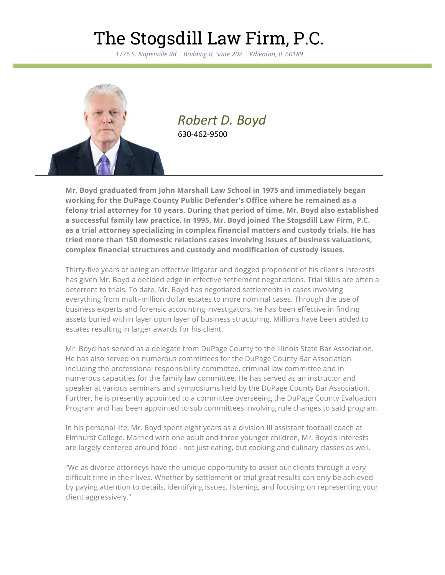## The Stogsdill Law Firm, P.C.

*1776 S. Naperville Rd | Building B, Suite 202 | Wheaton, IL 60189*



*Robert D. Boyd* 630-462-9500

**Mr. Boyd graduated from John Marshall Law School in 1975 and immediately began working for the DuPage County Public Defender's Office where he remained as a felony trial attorney for 10 years. During that period of time, Mr. Boyd also established a successful family law practice. In 1995, Mr. Boyd joined The Stogsdill Law Firm, P.C. as a trial attorney specializing in complex financial matters and custody trials. He has tried more than 150 domestic relations cases involving issues of business valuations, complex financial structures and custody and modification of custody issues.**

Thirty-five years of being an effective litigator and dogged proponent of his client's interests has given Mr. Boyd a decided edge in effective settlement negotiations. Trial skills are often a deterrent to trials. To date, Mr. Boyd has negotiated settlements in cases involving everything from multi-million dollar estates to more nominal cases. Through the use of business experts and forensic accounting investigators, he has been effective in finding assets buried within layer upon layer of business structuring. Millions have been added to estates resulting in larger awards for his client.

Mr. Boyd has served as a delegate from DuPage County to the Illinois State Bar Association. He has also served on numerous committees for the DuPage County Bar Association including the professional responsibility committee, criminal law committee and in numerous capacities for the family law committee. He has served as an instructor and speaker at various seminars and symposiums held by the DuPage County Bar Association. Further, he is presently appointed to a committee overseeing the DuPage County Evaluation Program and has been appointed to sub committees involving rule changes to said program.

In his personal life, Mr. Boyd spent eight years as a division III assistant football coach at Elmhurst College. Married with one adult and three younger children, Mr. Boyd's interests are largely centered around food - not just eating, but cooking and culinary classes as well.

"We as divorce attorneys have the unique opportunity to assist our clients through a very difficult time in their lives. Whether by settlement or trial great results can only be achieved by paying attention to details, identifying issues, listening, and focusing on representing your client aggressively."